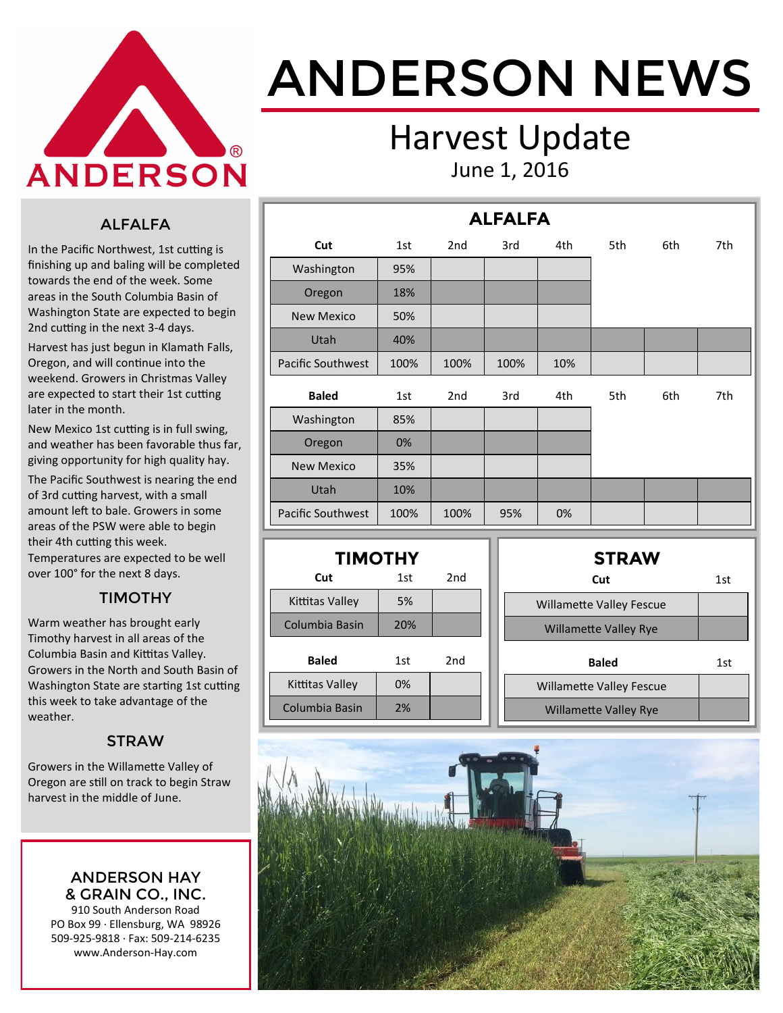

# ANDERSON NEWS

### Harvest Update June 1, 2016

**ALFALFA**

#### ALFALFA

In the Pacific Northwest, 1st cutting is finishing up and baling will be completed towards the end of the week. Some areas in the South Columbia Basin of Washington State are expected to begin 2nd cutting in the next 3-4 days.

Harvest has just begun in Klamath Falls, Oregon, and will continue into the weekend. Growers in Christmas Valley are expected to start their 1st cutting later in the month.

New Mexico 1st cutting is in full swing, and weather has been favorable thus far, giving opportunity for high quality hay.

The Pacific Southwest is nearing the end of 3rd cutting harvest, with a small amount left to bale. Growers in some areas of the PSW were able to begin their 4th cutting this week.

Temperatures are expected to be well over 100° for the next 8 days.

#### TIMOTHY

Warm weather has brought early Timothy harvest in all areas of the Columbia Basin and Kittitas Valley. Growers in the North and South Basin of Washington State are starting 1st cutting this week to take advantage of the weather.

#### **STRAW**

Growers in the Willamette Valley of Oregon are still on track to begin Straw harvest in the middle of June.

> ANDERSON HAY & GRAIN CO., INC.

910 South Anderson Road PO Box 99 · Ellensburg, WA 98926 509-925-9818 · Fax: 509-214-6235 www.Anderson-Hay.com

|                          |      |                 | ALFALFA |     |     |     |     |
|--------------------------|------|-----------------|---------|-----|-----|-----|-----|
| Cut                      | 1st  | 2 <sub>nd</sub> | 3rd     | 4th | 5th | 6th | 7th |
| Washington               | 95%  |                 |         |     |     |     |     |
| Oregon                   | 18%  |                 |         |     |     |     |     |
| <b>New Mexico</b>        | 50%  |                 |         |     |     |     |     |
| Utah                     | 40%  |                 |         |     |     |     |     |
| <b>Pacific Southwest</b> | 100% | 100%            | 100%    | 10% |     |     |     |
| <b>Baled</b>             | 1st  | 2 <sub>nd</sub> | 3rd     | 4th | 5th | 6th | 7th |
| Washington               | 85%  |                 |         |     |     |     |     |
| Oregon                   | 0%   |                 |         |     |     |     |     |
| <b>New Mexico</b>        | 35%  |                 |         |     |     |     |     |
| Utah                     | 10%  |                 |         |     |     |     |     |
| <b>Pacific Southwest</b> | 100% | 100%            | 95%     | 0%  |     |     |     |

| <b>TIMOTHY</b>  |     |                 |  |  |  |  |  |  |  |  |
|-----------------|-----|-----------------|--|--|--|--|--|--|--|--|
| Cut             | 1st | 2nd             |  |  |  |  |  |  |  |  |
| Kittitas Valley | 5%  |                 |  |  |  |  |  |  |  |  |
| Columbia Basin  | 20% |                 |  |  |  |  |  |  |  |  |
| <b>Baled</b>    | 1st | 2 <sub>nd</sub> |  |  |  |  |  |  |  |  |
| Kittitas Valley | 0%  |                 |  |  |  |  |  |  |  |  |
| Columbia Basin  | 2%  |                 |  |  |  |  |  |  |  |  |

| <b>STRAW</b>                    |     |
|---------------------------------|-----|
| Cut                             | 1st |
| <b>Willamette Valley Fescue</b> |     |
| <b>Willamette Valley Rye</b>    |     |
| <b>Baled</b>                    | 1st |
|                                 |     |
| <b>Willamette Valley Fescue</b> |     |